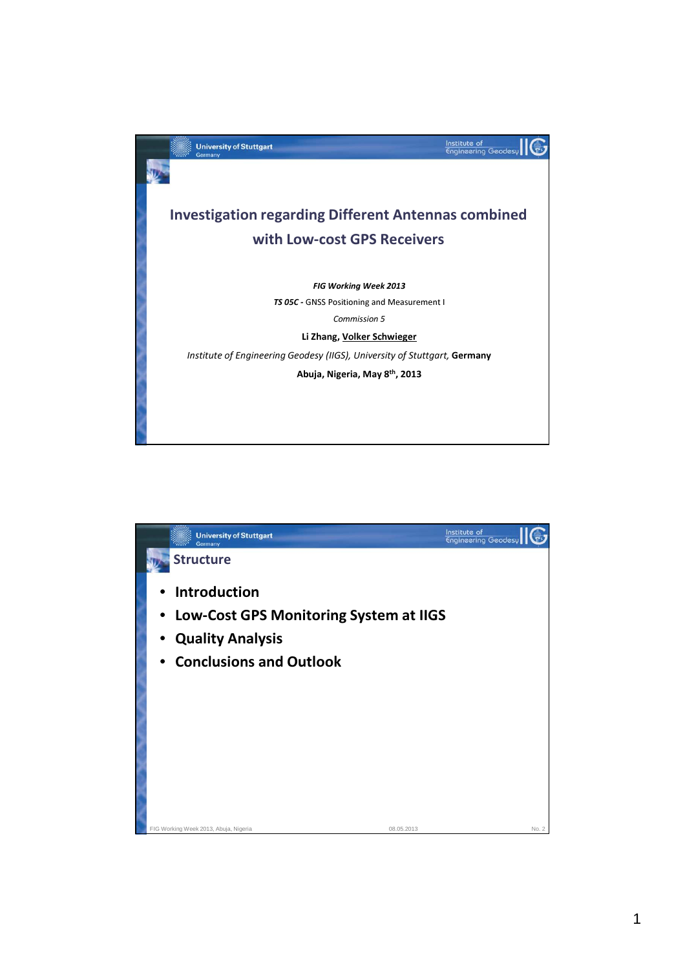

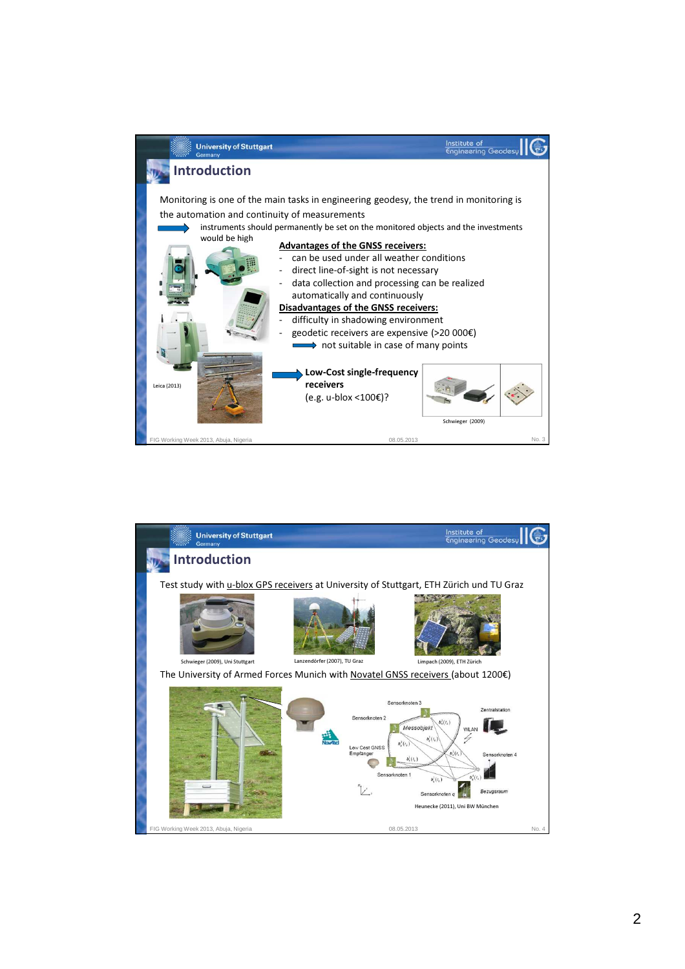

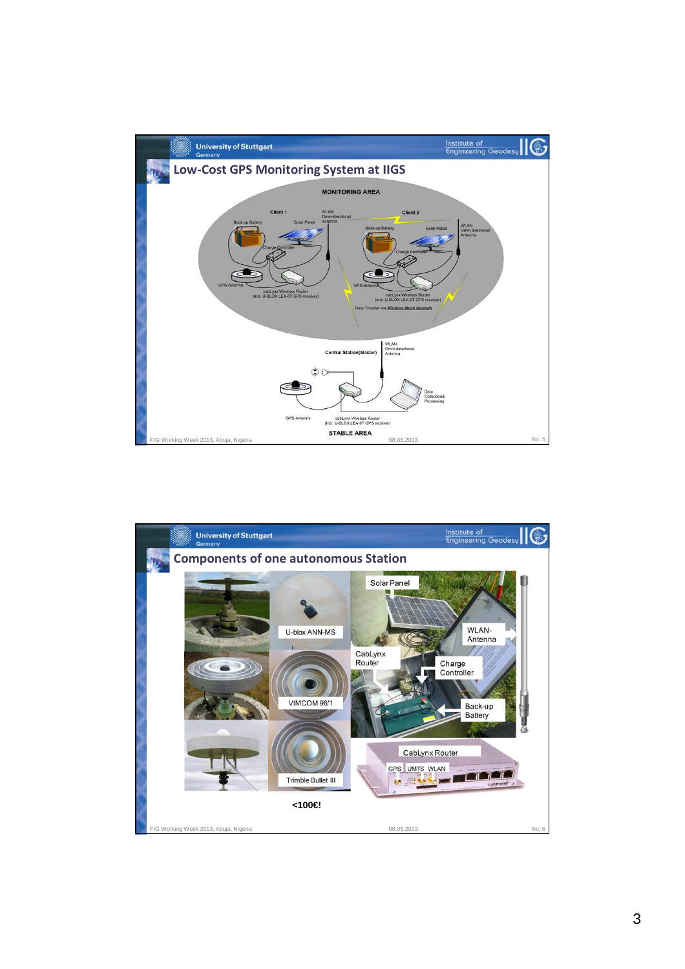

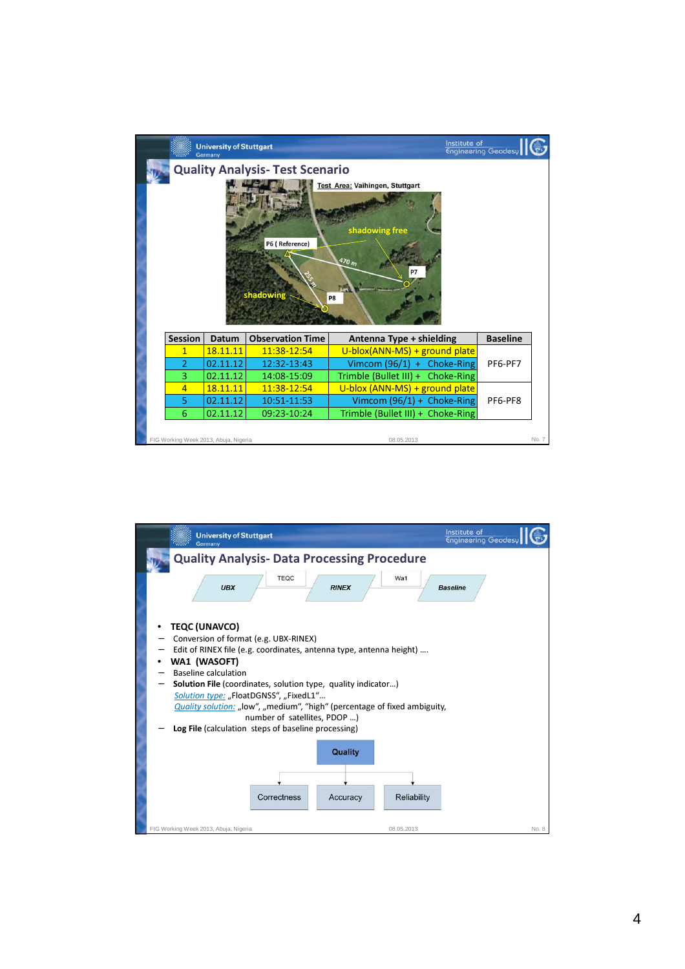

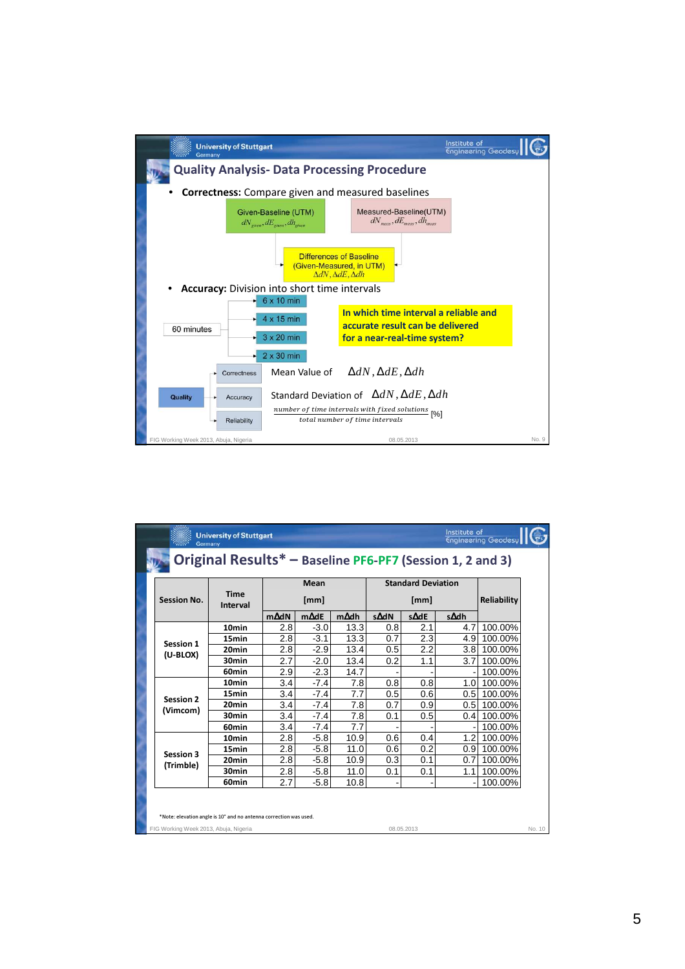

| <b>University of Stuttgart</b><br>Engineering Geodesy<br>Germany<br>Original Results* - Baseline PF6-PF7 (Session 1, 2 and 3) |                                                                   |              |              |      |                           |            |                  |             |
|-------------------------------------------------------------------------------------------------------------------------------|-------------------------------------------------------------------|--------------|--------------|------|---------------------------|------------|------------------|-------------|
|                                                                                                                               |                                                                   |              |              |      |                           |            |                  |             |
|                                                                                                                               |                                                                   |              | Mean         |      | <b>Standard Deviation</b> |            |                  |             |
| <b>Session No.</b>                                                                                                            | <b>Time</b><br>Interval                                           | [mm]         |              |      | [mm]                      |            |                  | Reliability |
|                                                                                                                               |                                                                   | $m\Delta dN$ | $m\Delta$ dE | m∆dh | s∆dN                      | s∆dE       | s∆dh             |             |
|                                                                                                                               | 10 <sub>min</sub>                                                 | 2.8          | $-3.0$       | 13.3 | 0.8                       | 2.1        | 4.7              | 100.00%     |
| Session 1                                                                                                                     | 15min                                                             | 2.8          | $-3.1$       | 13.3 | 0.7                       | 2.3        | 4.9              | 100.00%     |
|                                                                                                                               | 20 <sub>min</sub>                                                 | 2.8          | $-2.9$       | 13.4 | 0.5                       | 2.2        | 3.8 <sub>l</sub> | 100.00%     |
| (U-BLOX)                                                                                                                      | 30min                                                             | 2.7          | $-2.0$       | 13.4 | 0.2                       | 1.1        | 3.7              | 100.00%     |
|                                                                                                                               | 60min                                                             | 2.9          | $-2.3$       | 14.7 |                           |            |                  | 100.00%     |
|                                                                                                                               | 10 <sub>min</sub>                                                 | 3.4          | $-7.4$       | 7.8  | 0.8                       | 0.8        | 1.0 <sub>l</sub> | 100.00%     |
| <b>Session 2</b>                                                                                                              | 15min                                                             | 3.4          | $-7.4$       | 7.7  | 0.5                       | 0.6        | 0.5 <sub>l</sub> | 100.00%     |
|                                                                                                                               | 20 <sub>min</sub>                                                 | 3.4          | $-7.4$       | 7.8  | 0.7                       | 0.9        | 0.5              | 100.00%     |
| (Vimcom)                                                                                                                      | 30 <sub>min</sub>                                                 | 3.4          | $-7.4$       | 7.8  | 0.1                       | 0.5        | 0.4              | 100.00%     |
|                                                                                                                               | 60 <sub>min</sub>                                                 | 3.4          | $-7.4$       | 7.7  |                           |            |                  | 100.00%     |
|                                                                                                                               | 10 <sub>min</sub>                                                 | 2.8          | $-5.8$       | 10.9 | 0.6                       | 0.4        | 1.2              | 100.00%     |
|                                                                                                                               | 15min                                                             | 2.8          | $-5.8$       | 11.0 | 0.6                       | 0.2        |                  | 0.9 100.00% |
| Session 3                                                                                                                     | 20 <sub>min</sub>                                                 | 2.8          | $-5.8$       | 10.9 | 0.3                       | 0.1        | 0.7              | 100.00%     |
| (Trimble)                                                                                                                     | 30min                                                             | 2.8          | $-5.8$       | 11.0 | 0.1                       | 0.1        | 1.1              | 100.00%     |
|                                                                                                                               | 60 <sub>min</sub>                                                 | 2.7          | $-5.8$       | 10.8 |                           |            |                  | 100.00%     |
|                                                                                                                               | *Note: elevation angle is 10° and no antenna correction was used. |              |              |      |                           |            |                  |             |
| FIG Working Week 2013, Abuja, Nigeria                                                                                         |                                                                   |              |              |      |                           | 08.05.2013 |                  |             |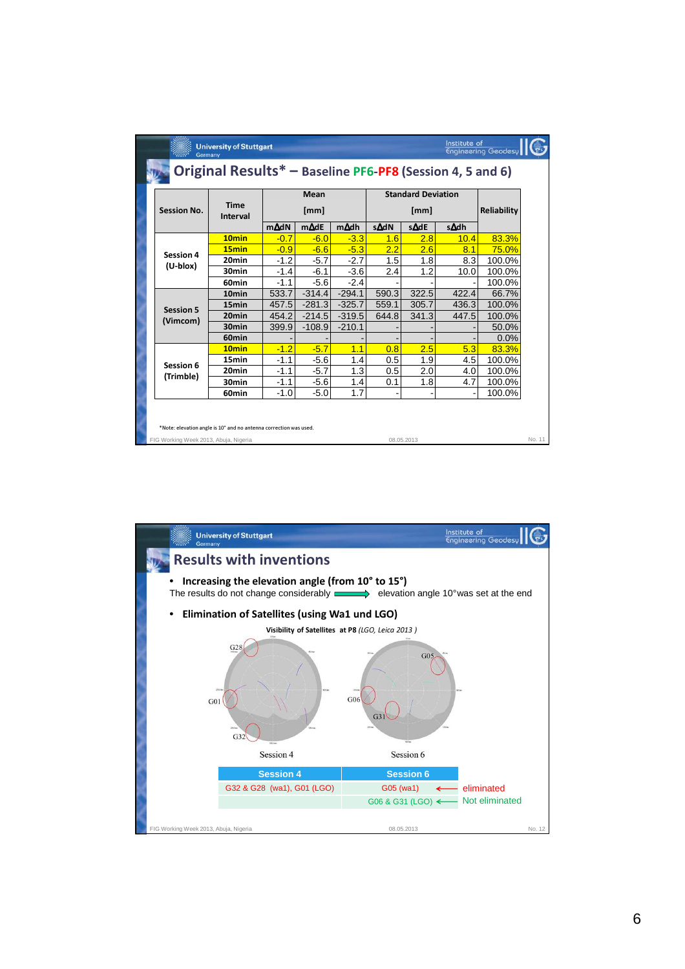| Institute of<br><b>University of Stuttgart</b><br>Engineering Geodesy<br>Germany |                         |              |              |          |                                   |            |                |              |        |
|----------------------------------------------------------------------------------|-------------------------|--------------|--------------|----------|-----------------------------------|------------|----------------|--------------|--------|
| Original Results* - Baseline PF6-PF8 (Session 4, 5 and 6)                        |                         |              |              |          |                                   |            |                |              |        |
| <b>Session No.</b>                                                               | <b>Time</b><br>Interval | Mean<br>[mm] |              |          | <b>Standard Deviation</b><br>[mm] |            |                | Reliability  |        |
|                                                                                  |                         | $m\Delta dN$ | $m\Delta$ dE | m∆dh     | s∆dN                              | s∆dE       | s∆dh           |              |        |
|                                                                                  | 10 <sub>min</sub>       | $-0.7$       | $-6.0$       | $-3.3$   | 1.6                               | 2.8        | 10.4           | 83.3%        |        |
| Session 4                                                                        | 15 <sub>min</sub>       | $-0.9$       | $-6.6$       | $-5.3$   | 2.2                               | 2.6        | 8.1            | <b>75.0%</b> |        |
|                                                                                  | 20 <sub>min</sub>       | $-1.2$       | $-5.7$       | $-2.7$   | 1.5                               | 1.8        | 8.3            | 100.0%       |        |
| (U-blox)                                                                         | 30 <sub>min</sub>       | $-1.4$       | $-6.1$       | $-3.6$   | 2.4                               | 1.2        | 10.0           | 100.0%       |        |
|                                                                                  | 60 <sub>min</sub>       | $-1.1$       | $-5.6$       | $-2.4$   |                                   |            |                | 100.0%       |        |
|                                                                                  | 10 <sub>min</sub>       | 533.7        | $-314.4$     | $-294.1$ | 590.3                             | 322.5      | 422.4          | 66.7%        |        |
| <b>Session 5</b>                                                                 | 15 <sub>min</sub>       | 457.5        | $-281.3$     | $-325.7$ | 559.1                             | 305.7      | 436.3          | 100.0%       |        |
|                                                                                  | 20 <sub>min</sub>       | 454.2        | $-214.5$     | $-319.5$ | 644.8                             | 341.3      | 447.5          | 100.0%       |        |
| (Vimcom)                                                                         | 30 <sub>min</sub>       | 399.9        | $-108.9$     | $-210.1$ |                                   |            |                | 50.0%        |        |
|                                                                                  | 60 <sub>min</sub>       |              |              |          |                                   |            |                | $0.0\%$      |        |
|                                                                                  | 10 <sub>min</sub>       | $-1.2$       | $-5.7$       | 1.1      | 0.8                               | 2.5        | 5.3            | 83.3%        |        |
| Session 6                                                                        | 15 <sub>min</sub>       | $-1.1$       | $-5.6$       | 1.4      | 0.5                               | 1.9        | 4.5            | 100.0%       |        |
|                                                                                  | 20 <sub>min</sub>       | $-1.1$       | $-5.7$       | 1.3      | 0.5                               | 2.0        | 4.0            | 100.0%       |        |
| (Trimble)                                                                        | 30 <sub>min</sub>       | $-1.1$       | $-5.6$       | 1.4      | 0.1                               | 1.8        | 4.7            | 100.0%       |        |
|                                                                                  | 60 <sub>min</sub>       | $-1.0$       | $-5.0$       | 1.7      |                                   |            | $\overline{a}$ | 100.0%       |        |
| *Note: elevation angle is 10° and no antenna correction was used.                |                         |              |              |          |                                   |            |                |              |        |
| FIG Working Week 2013, Abuja, Nigeria                                            |                         |              |              |          |                                   | 08.05.2013 |                |              | No. 11 |

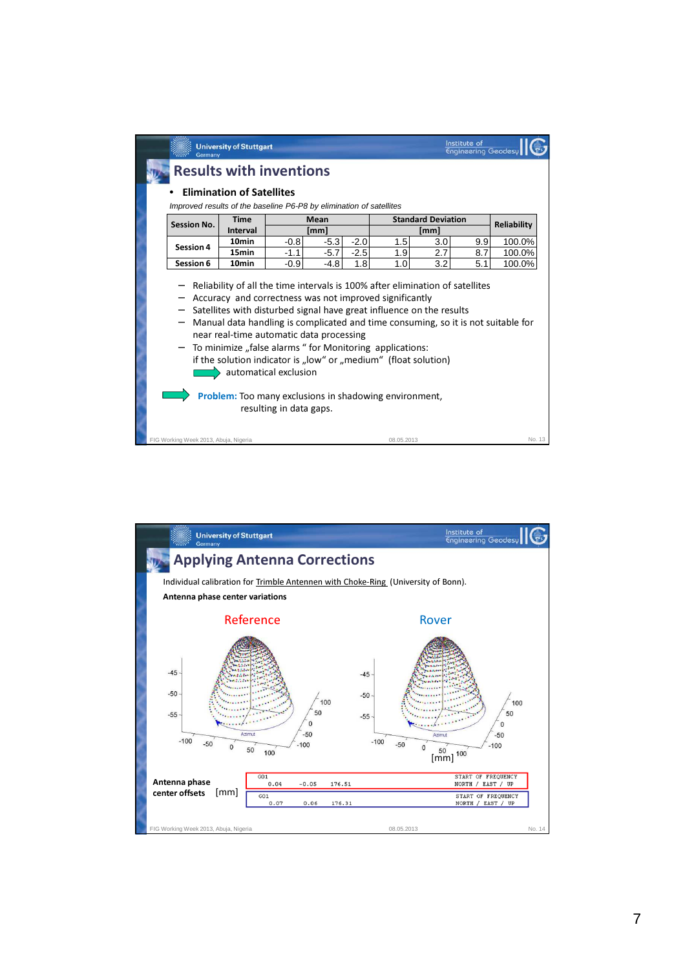| Germany                                                             | <b>University of Stuttgart</b>                                                                                                                                                                                                                                                                                                       |                         |                  |                  |                           |            | Institute of<br><b>Engineering Geodesy</b> |                    |
|---------------------------------------------------------------------|--------------------------------------------------------------------------------------------------------------------------------------------------------------------------------------------------------------------------------------------------------------------------------------------------------------------------------------|-------------------------|------------------|------------------|---------------------------|------------|--------------------------------------------|--------------------|
|                                                                     | <b>Results with inventions</b>                                                                                                                                                                                                                                                                                                       |                         |                  |                  |                           |            |                                            |                    |
| Improved results of the baseline P6-P8 by elimination of satellites | <b>Elimination of Satellites</b>                                                                                                                                                                                                                                                                                                     |                         |                  |                  |                           |            |                                            |                    |
| <b>Session No.</b>                                                  | <b>Time</b>                                                                                                                                                                                                                                                                                                                          | Mean                    |                  |                  | <b>Standard Deviation</b> |            |                                            | <b>Reliability</b> |
|                                                                     | Interval<br>[mm]                                                                                                                                                                                                                                                                                                                     |                         | [mm]             |                  |                           |            |                                            |                    |
| <b>Session 4</b>                                                    | 10 <sub>min</sub><br>15min                                                                                                                                                                                                                                                                                                           | $-0.8$<br>$-1.1$        | $-5.3$<br>$-5.7$ | $-2.0$<br>$-2.5$ | 1.5<br>1.9                | 3.0<br>2.7 | 9.9<br>8.7                                 | 100.0%<br>100.0%   |
| Session 6                                                           | 10 <sub>min</sub>                                                                                                                                                                                                                                                                                                                    | $-0.9$                  | $-4.8$           | 1.8              | 1.0                       | 3.2        | 5.1                                        | 100.0%             |
| —                                                                   | Satellites with disturbed signal have great influence on the results<br>Manual data handling is complicated and time consuming, so it is not suitable for<br>near real-time automatic data processing<br>To minimize "false alarms " for Monitoring applications:<br>if the solution indicator is "low" or "medium" (float solution) | automatical exclusion   |                  |                  |                           |            |                                            |                    |
|                                                                     | <b>Problem:</b> Too many exclusions in shadowing environment,                                                                                                                                                                                                                                                                        | resulting in data gaps. |                  |                  |                           |            |                                            |                    |

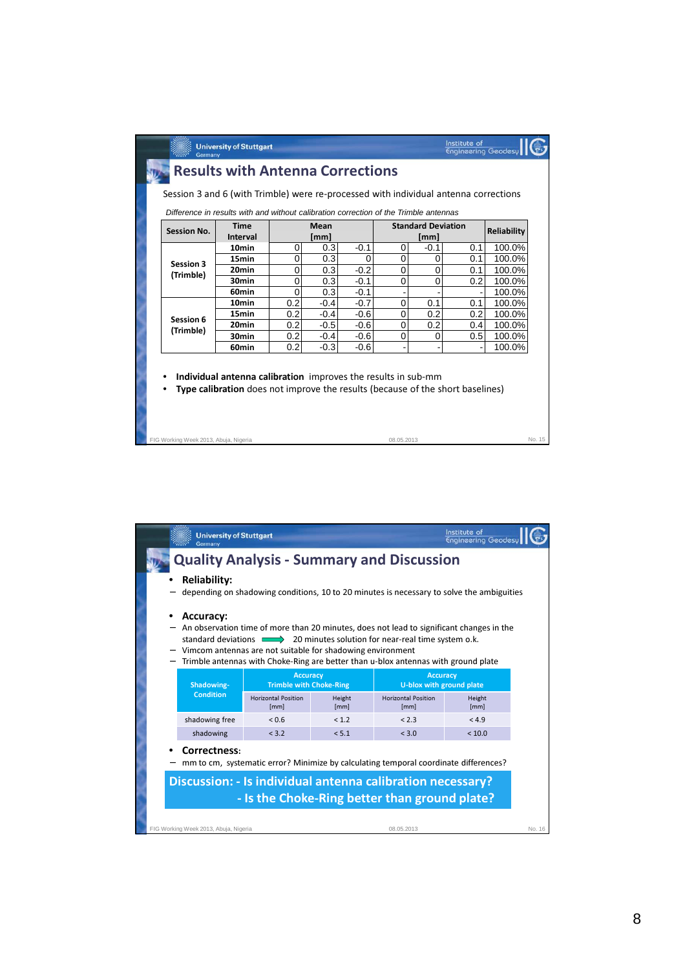| Interval<br>10 <sub>min</sub> |                                                                                                                                                                | [mm]                                                |                                                              | <b>Time</b><br><b>Standard Deviation</b><br>Mean<br>Reliability<br><b>Session No.</b> |                              |                             |                                 |  |
|-------------------------------|----------------------------------------------------------------------------------------------------------------------------------------------------------------|-----------------------------------------------------|--------------------------------------------------------------|---------------------------------------------------------------------------------------|------------------------------|-----------------------------|---------------------------------|--|
|                               |                                                                                                                                                                |                                                     |                                                              |                                                                                       | [mm]                         |                             |                                 |  |
| 15min                         | 0                                                                                                                                                              | 0.3                                                 | $-0.1$                                                       | 0                                                                                     | $-0.1$                       | 0.1                         | 100.0%                          |  |
| Session 3                     | 0                                                                                                                                                              | 0.3                                                 | 0                                                            | 0                                                                                     | 0                            | 0.1                         | 100.0%                          |  |
| 20 <sub>min</sub>             | 0                                                                                                                                                              | 0.3                                                 | $-0.2$                                                       | 0                                                                                     | 0                            | 0.1                         | 100.0%                          |  |
|                               |                                                                                                                                                                |                                                     |                                                              |                                                                                       |                              |                             | 100.0%                          |  |
|                               |                                                                                                                                                                |                                                     |                                                              |                                                                                       |                              |                             | 100.0%                          |  |
|                               |                                                                                                                                                                |                                                     |                                                              |                                                                                       |                              |                             | 100.0%                          |  |
|                               |                                                                                                                                                                |                                                     |                                                              |                                                                                       |                              |                             | 100.0%                          |  |
|                               |                                                                                                                                                                |                                                     |                                                              |                                                                                       |                              |                             | 100.0%                          |  |
|                               |                                                                                                                                                                |                                                     |                                                              |                                                                                       |                              |                             | 100.0%                          |  |
|                               |                                                                                                                                                                |                                                     |                                                              |                                                                                       |                              |                             | 100.0%                          |  |
|                               | (Trimble)<br>30 <sub>min</sub><br>60min<br>10 <sub>min</sub><br>15min<br>Session 6<br>20 <sub>min</sub><br>(Trimble)<br>30 <sub>min</sub><br>60 <sub>min</sub> | 0<br>$\mathbf 0$<br>0.2<br>0.2<br>0.2<br>0.2<br>0.2 | 0.3<br>0.3<br>$-0.4$<br>$-0.4$<br>$-0.5$<br>$-0.4$<br>$-0.3$ | $-0.1$<br>$-0.1$<br>$-0.7$<br>$-0.6$<br>$-0.6$<br>$-0.6$<br>$-0.6$                    | $\Omega$<br>0<br>0<br>0<br>0 | 0<br>0.1<br>0.2<br>0.2<br>0 | 0.2<br>0.1<br>0.2<br>0.4<br>0.5 |  |

|                                                                                                                                                                                                                     | <b>University of Stuttgart</b><br>Germany                                                                                                                                                                                                                                                                                                  |                                                   |                |                                                                                           | Institute of<br><b>Engineering Geodesy</b> |        |  |  |  |  |
|---------------------------------------------------------------------------------------------------------------------------------------------------------------------------------------------------------------------|--------------------------------------------------------------------------------------------------------------------------------------------------------------------------------------------------------------------------------------------------------------------------------------------------------------------------------------------|---------------------------------------------------|----------------|-------------------------------------------------------------------------------------------|--------------------------------------------|--------|--|--|--|--|
|                                                                                                                                                                                                                     |                                                                                                                                                                                                                                                                                                                                            |                                                   |                | <b>Quality Analysis - Summary and Discussion</b>                                          |                                            |        |  |  |  |  |
|                                                                                                                                                                                                                     | <b>Reliability:</b>                                                                                                                                                                                                                                                                                                                        |                                                   |                | depending on shadowing conditions, 10 to 20 minutes is necessary to solve the ambiguities |                                            |        |  |  |  |  |
|                                                                                                                                                                                                                     | <b>Accuracy:</b><br>An observation time of more than 20 minutes, does not lead to significant changes in the<br>standard deviations 20 minutes solution for near-real time system o.k.<br>Vimcom antennas are not suitable for shadowing environment<br>Trimble antennas with Choke-Ring are better than u-blox antennas with ground plate |                                                   |                |                                                                                           |                                            |        |  |  |  |  |
|                                                                                                                                                                                                                     | Shadowing-                                                                                                                                                                                                                                                                                                                                 | <b>Accuracy</b><br><b>Trimble with Choke-Ring</b> |                | <b>Accuracy</b><br>U-blox with ground plate                                               |                                            |        |  |  |  |  |
|                                                                                                                                                                                                                     | <b>Condition</b>                                                                                                                                                                                                                                                                                                                           | <b>Horizontal Position</b><br>[mm]                | Height<br>[mm] | <b>Horizontal Position</b><br>[mm]                                                        | Height<br>[mm]                             |        |  |  |  |  |
|                                                                                                                                                                                                                     | shadowing free                                                                                                                                                                                                                                                                                                                             | < 0.6                                             | < 1.2          | < 2.3                                                                                     | < 4.9                                      |        |  |  |  |  |
|                                                                                                                                                                                                                     | shadowing                                                                                                                                                                                                                                                                                                                                  | < 3.2                                             | < 5.1          | < 3.0                                                                                     | < 10.0                                     |        |  |  |  |  |
| Correctness:<br>mm to cm, systematic error? Minimize by calculating temporal coordinate differences?<br>Discussion: - Is individual antenna calibration necessary?<br>- Is the Choke-Ring better than ground plate? |                                                                                                                                                                                                                                                                                                                                            |                                                   |                |                                                                                           |                                            |        |  |  |  |  |
|                                                                                                                                                                                                                     |                                                                                                                                                                                                                                                                                                                                            |                                                   |                |                                                                                           |                                            |        |  |  |  |  |
|                                                                                                                                                                                                                     | FIG Working Week 2013, Abuja, Nigeria                                                                                                                                                                                                                                                                                                      |                                                   |                | 08.05.2013                                                                                |                                            | No. 16 |  |  |  |  |